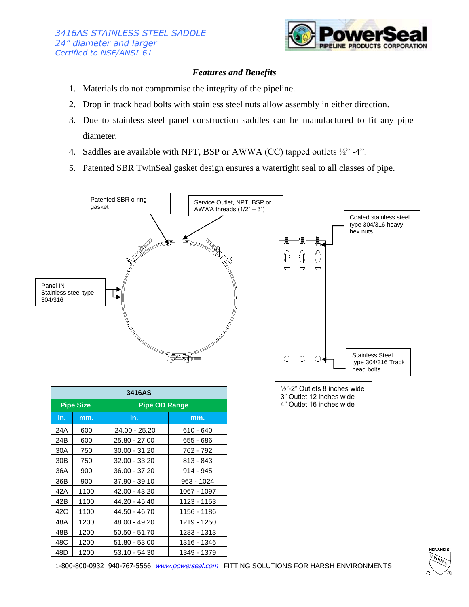

## *Features and Benefits*

- 1. Materials do not compromise the integrity of the pipeline.
- 2. Drop in track head bolts with stainless steel nuts allow assembly in either direction.
- 3. Due to stainless steel panel construction saddles can be manufactured to fit any pipe diameter.
- 4. Saddles are available with NPT, BSP or AWWA (CC) tapped outlets ½" -4".
- 5. Patented SBR TwinSeal gasket design ensures a watertight seal to all classes of pipe.



| 3416AS           |      |                      |             |  |
|------------------|------|----------------------|-------------|--|
| <b>Pipe Size</b> |      | <b>Pipe OD Range</b> |             |  |
| in.              | mm.  | in.                  | mm.         |  |
| 24A              | 600  | 24.00 - 25.20        | 610 - 640   |  |
| 24B              | 600  | 25.80 - 27.00        | 655 - 686   |  |
| 30A              | 750  | 30.00 - 31.20        | 762 - 792   |  |
| 30 <sub>B</sub>  | 750  | 32.00 - 33.20        | 813 - 843   |  |
| 36A              | 900  | $36.00 - 37.20$      | 914 - 945   |  |
| 36B              | 900  | 37.90 - 39.10        | 963 - 1024  |  |
| 42A              | 1100 | 42.00 - 43.20        | 1067 - 1097 |  |
| 42B              | 1100 | 44.20 - 45.40        | 1123 - 1153 |  |
| 42C              | 1100 | 44.50 - 46.70        | 1156 - 1186 |  |
| 48A              | 1200 | 48.00 - 49.20        | 1219 - 1250 |  |
| 48B              | 1200 | $50.50 - 51.70$      | 1283 - 1313 |  |
| 48C              | 1200 | 51.80 - 53.00        | 1316 - 1346 |  |
| 48D              | 1200 | 53.10 - 54.30        | 1349 - 1379 |  |